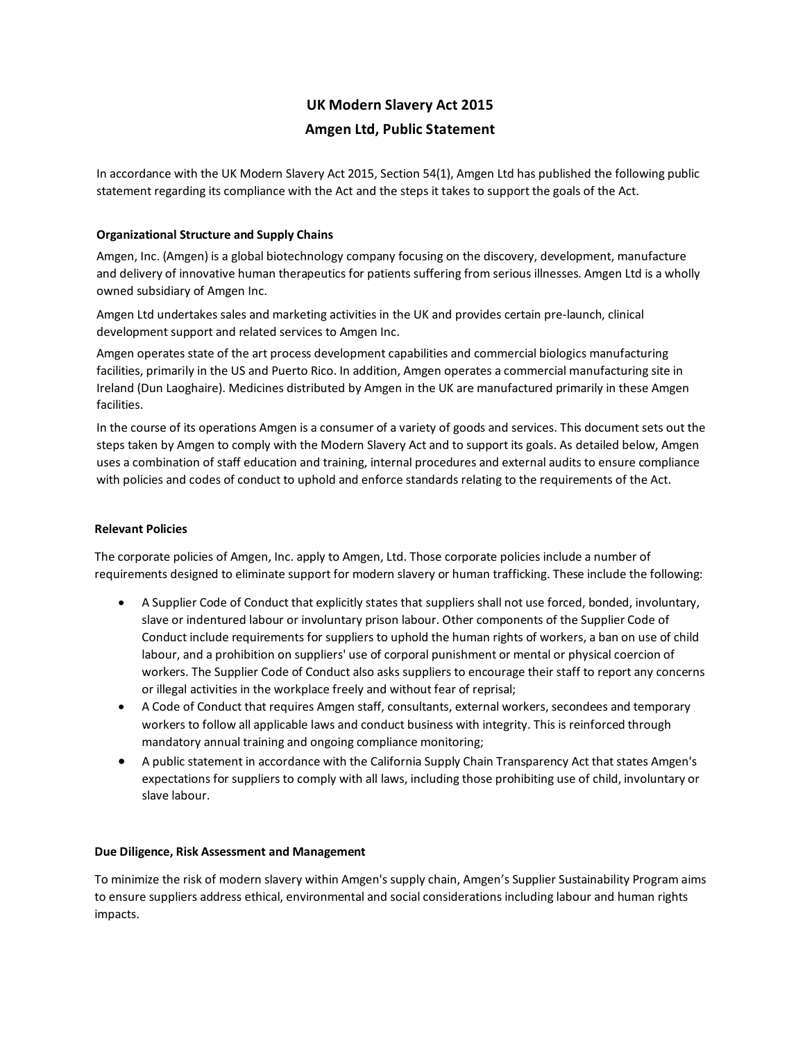# **UK Modern Slavery Act 2015 Amgen Ltd, Public Statement**

In accordance with the UK Modern Slavery Act 2015, Section 54(1), Amgen Ltd has published the following public statement regarding its compliance with the Act and the steps it takes to support the goals of the Act.

# **Organizational Structure and Supply Chains**

Amgen, Inc. (Amgen) is a global biotechnology company focusing on the discovery, development, manufacture and delivery of innovative human therapeutics for patients suffering from serious illnesses. Amgen Ltd is a wholly owned subsidiary of Amgen Inc.

Amgen Ltd undertakes sales and marketing activities in the UK and provides certain pre-launch, clinical development support and related services to Amgen Inc.

Amgen operates state of the art process development capabilities and commercial biologics manufacturing facilities, primarily in the US and Puerto Rico. In addition, Amgen operates a commercial manufacturing site in Ireland (Dun Laoghaire). Medicines distributed by Amgen in the UK are manufactured primarily in these Amgen facilities.

In the course of its operations Amgen is a consumer of a variety of goods and services. This document sets out the steps taken by Amgen to comply with the Modern Slavery Act and to support its goals. As detailed below, Amgen uses a combination of staff education and training, internal procedures and external audits to ensure compliance with policies and codes of conduct to uphold and enforce standards relating to the requirements of the Act.

# **Relevant Policies**

The corporate policies of Amgen, Inc. apply to Amgen, Ltd. Those corporate policies include a number of requirements designed to eliminate support for modern slavery or human trafficking. These include the following:

- A Supplier Code of Conduct that explicitly states that suppliers shall not use forced, bonded, involuntary, slave or indentured labour or involuntary prison labour. Other components of the Supplier Code of Conduct include requirements for suppliers to uphold the human rights of workers, a ban on use of child labour, and a prohibition on suppliers' use of corporal punishment or mental or physical coercion of workers. The Supplier Code of Conduct also asks suppliers to encourage their staff to report any concerns or illegal activities in the workplace freely and without fear of reprisal;
- A Code of Conduct that requires Amgen staff, consultants, external workers, secondees and temporary workers to follow all applicable laws and conduct business with integrity. This is reinforced through mandatory annual training and ongoing compliance monitoring;
- A public statement in accordance with the California Supply Chain Transparency Act that states Amgen's expectations for suppliers to comply with all laws, including those prohibiting use of child, involuntary or slave labour.

## **Due Diligence, Risk Assessment and Management**

To minimize the risk of modern slavery within Amgen's supply chain, Amgen's Supplier Sustainability Program aims to ensure suppliers address ethical, environmental and social considerations including labour and human rights impacts.